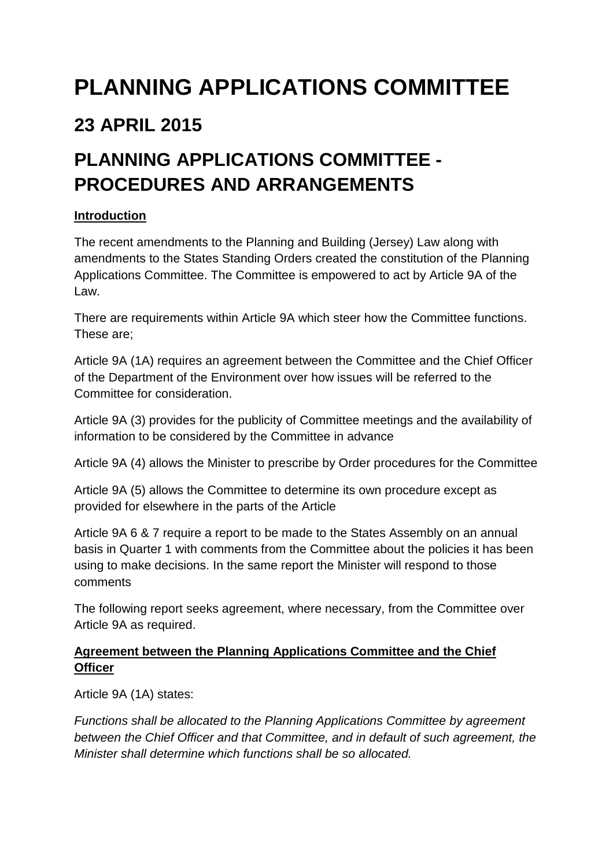# **PLANNING APPLICATIONS COMMITTEE**

### **23 APRIL 2015**

## **PLANNING APPLICATIONS COMMITTEE - PROCEDURES AND ARRANGEMENTS**

#### **Introduction**

The recent amendments to the Planning and Building (Jersey) Law along with amendments to the States Standing Orders created the constitution of the Planning Applications Committee. The Committee is empowered to act by Article 9A of the Law.

There are requirements within Article 9A which steer how the Committee functions. These are;

Article 9A (1A) requires an agreement between the Committee and the Chief Officer of the Department of the Environment over how issues will be referred to the Committee for consideration.

Article 9A (3) provides for the publicity of Committee meetings and the availability of information to be considered by the Committee in advance

Article 9A (4) allows the Minister to prescribe by Order procedures for the Committee

Article 9A (5) allows the Committee to determine its own procedure except as provided for elsewhere in the parts of the Article

Article 9A 6 & 7 require a report to be made to the States Assembly on an annual basis in Quarter 1 with comments from the Committee about the policies it has been using to make decisions. In the same report the Minister will respond to those comments

The following report seeks agreement, where necessary, from the Committee over Article 9A as required.

#### **Agreement between the Planning Applications Committee and the Chief Officer**

Article 9A (1A) states:

Functions shall be allocated to the Planning Applications Committee by agreement between the Chief Officer and that Committee, and in default of such agreement, the Minister shall determine which functions shall be so allocated.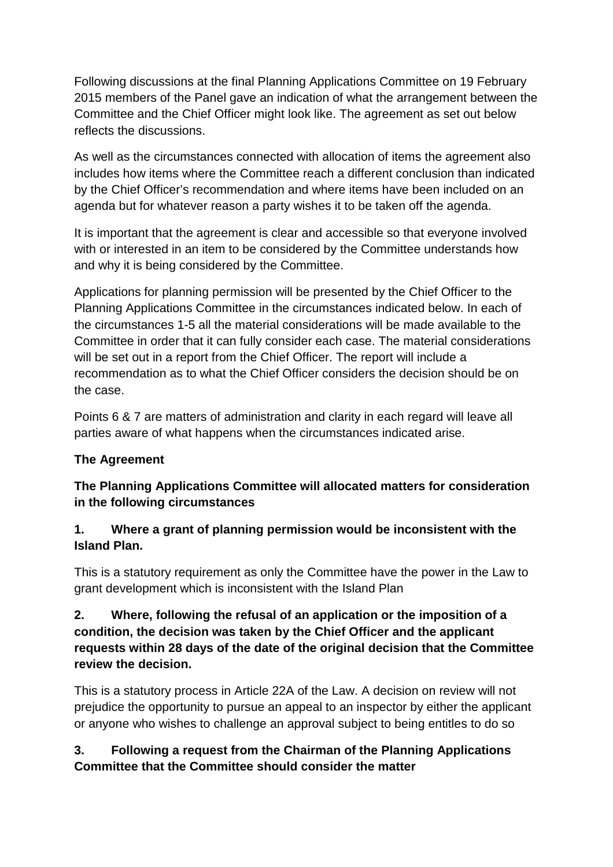Following discussions at the final Planning Applications Committee on 19 February 2015 members of the Panel gave an indication of what the arrangement between the Committee and the Chief Officer might look like. The agreement as set out below reflects the discussions.

As well as the circumstances connected with allocation of items the agreement also includes how items where the Committee reach a different conclusion than indicated by the Chief Officer's recommendation and where items have been included on an agenda but for whatever reason a party wishes it to be taken off the agenda.

It is important that the agreement is clear and accessible so that everyone involved with or interested in an item to be considered by the Committee understands how and why it is being considered by the Committee.

Applications for planning permission will be presented by the Chief Officer to the Planning Applications Committee in the circumstances indicated below. In each of the circumstances 1-5 all the material considerations will be made available to the Committee in order that it can fully consider each case. The material considerations will be set out in a report from the Chief Officer. The report will include a recommendation as to what the Chief Officer considers the decision should be on the case.

Points 6 & 7 are matters of administration and clarity in each regard will leave all parties aware of what happens when the circumstances indicated arise.

#### **The Agreement**

**The Planning Applications Committee will allocated matters for consideration in the following circumstances** 

#### **1. Where a grant of planning permission would be inconsistent with the Island Plan.**

This is a statutory requirement as only the Committee have the power in the Law to grant development which is inconsistent with the Island Plan

#### **2. Where, following the refusal of an application or the imposition of a condition, the decision was taken by the Chief Officer and the applicant requests within 28 days of the date of the original decision that the Committee review the decision.**

This is a statutory process in Article 22A of the Law. A decision on review will not prejudice the opportunity to pursue an appeal to an inspector by either the applicant or anyone who wishes to challenge an approval subject to being entitles to do so

#### **3. Following a request from the Chairman of the Planning Applications Committee that the Committee should consider the matter**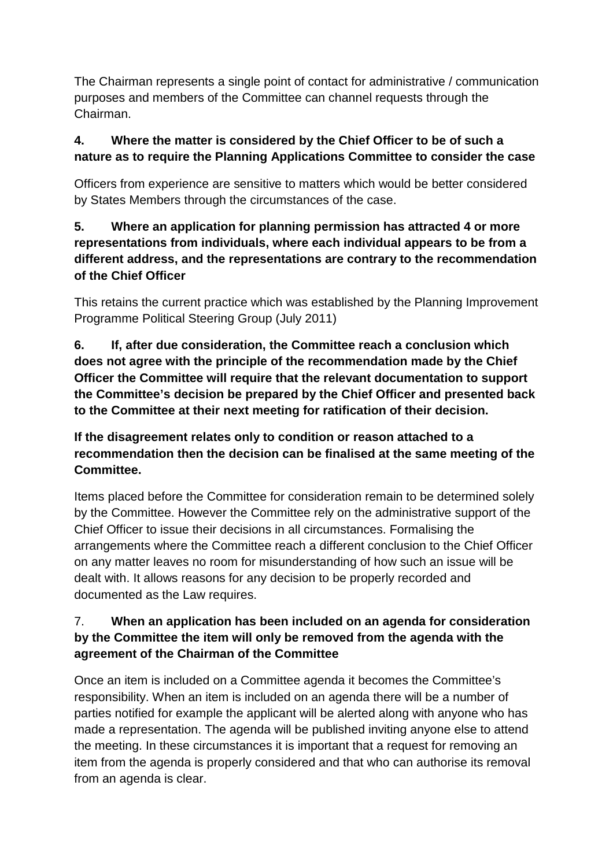The Chairman represents a single point of contact for administrative / communication purposes and members of the Committee can channel requests through the Chairman.

#### **4. Where the matter is considered by the Chief Officer to be of such a nature as to require the Planning Applications Committee to consider the case**

Officers from experience are sensitive to matters which would be better considered by States Members through the circumstances of the case.

#### **5. Where an application for planning permission has attracted 4 or more representations from individuals, where each individual appears to be from a different address, and the representations are contrary to the recommendation of the Chief Officer**

This retains the current practice which was established by the Planning Improvement Programme Political Steering Group (July 2011)

#### **6. If, after due consideration, the Committee reach a conclusion which does not agree with the principle of the recommendation made by the Chief Officer the Committee will require that the relevant documentation to support the Committee's decision be prepared by the Chief Officer and presented back to the Committee at their next meeting for ratification of their decision.**

#### **If the disagreement relates only to condition or reason attached to a recommendation then the decision can be finalised at the same meeting of the Committee.**

Items placed before the Committee for consideration remain to be determined solely by the Committee. However the Committee rely on the administrative support of the Chief Officer to issue their decisions in all circumstances. Formalising the arrangements where the Committee reach a different conclusion to the Chief Officer on any matter leaves no room for misunderstanding of how such an issue will be dealt with. It allows reasons for any decision to be properly recorded and documented as the Law requires.

#### 7. **When an application has been included on an agenda for consideration by the Committee the item will only be removed from the agenda with the agreement of the Chairman of the Committee**

Once an item is included on a Committee agenda it becomes the Committee's responsibility. When an item is included on an agenda there will be a number of parties notified for example the applicant will be alerted along with anyone who has made a representation. The agenda will be published inviting anyone else to attend the meeting. In these circumstances it is important that a request for removing an item from the agenda is properly considered and that who can authorise its removal from an agenda is clear.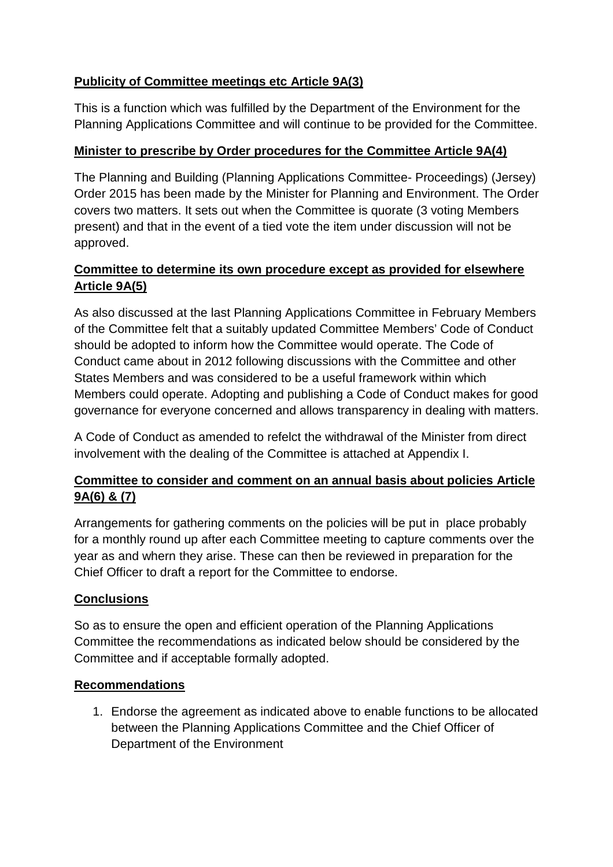#### **Publicity of Committee meetings etc Article 9A(3)**

This is a function which was fulfilled by the Department of the Environment for the Planning Applications Committee and will continue to be provided for the Committee.

#### **Minister to prescribe by Order procedures for the Committee Article 9A(4)**

The Planning and Building (Planning Applications Committee- Proceedings) (Jersey) Order 2015 has been made by the Minister for Planning and Environment. The Order covers two matters. It sets out when the Committee is quorate (3 voting Members present) and that in the event of a tied vote the item under discussion will not be approved.

#### **Committee to determine its own procedure except as provided for elsewhere Article 9A(5)**

As also discussed at the last Planning Applications Committee in February Members of the Committee felt that a suitably updated Committee Members' Code of Conduct should be adopted to inform how the Committee would operate. The Code of Conduct came about in 2012 following discussions with the Committee and other States Members and was considered to be a useful framework within which Members could operate. Adopting and publishing a Code of Conduct makes for good governance for everyone concerned and allows transparency in dealing with matters.

A Code of Conduct as amended to refelct the withdrawal of the Minister from direct involvement with the dealing of the Committee is attached at Appendix I.

#### **Committee to consider and comment on an annual basis about policies Article 9A(6) & (7)**

Arrangements for gathering comments on the policies will be put in place probably for a monthly round up after each Committee meeting to capture comments over the year as and whern they arise. These can then be reviewed in preparation for the Chief Officer to draft a report for the Committee to endorse.

#### **Conclusions**

So as to ensure the open and efficient operation of the Planning Applications Committee the recommendations as indicated below should be considered by the Committee and if acceptable formally adopted.

#### **Recommendations**

1. Endorse the agreement as indicated above to enable functions to be allocated between the Planning Applications Committee and the Chief Officer of Department of the Environment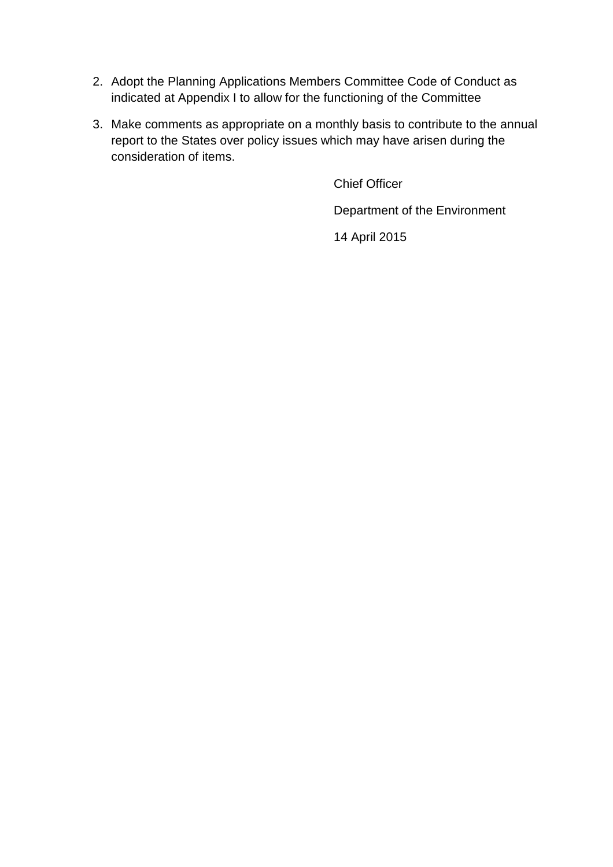- 2. Adopt the Planning Applications Members Committee Code of Conduct as indicated at Appendix I to allow for the functioning of the Committee
- 3. Make comments as appropriate on a monthly basis to contribute to the annual report to the States over policy issues which may have arisen during the consideration of items.

Chief Officer

Department of the Environment

14 April 2015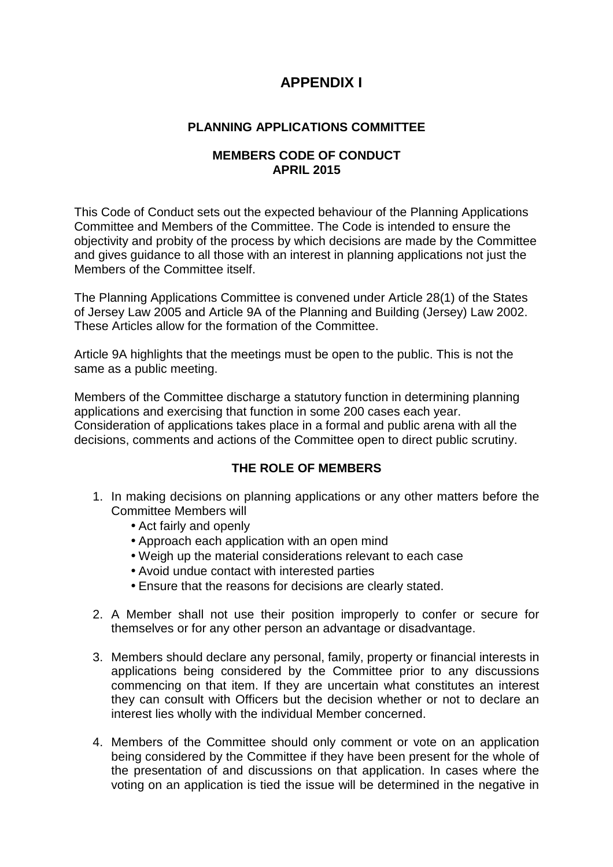### **APPENDIX I**

#### **PLANNING APPLICATIONS COMMITTEE**

#### **MEMBERS CODE OF CONDUCT APRIL 2015**

This Code of Conduct sets out the expected behaviour of the Planning Applications Committee and Members of the Committee. The Code is intended to ensure the objectivity and probity of the process by which decisions are made by the Committee and gives guidance to all those with an interest in planning applications not just the Members of the Committee itself

The Planning Applications Committee is convened under Article 28(1) of the States of Jersey Law 2005 and Article 9A of the Planning and Building (Jersey) Law 2002. These Articles allow for the formation of the Committee.

Article 9A highlights that the meetings must be open to the public. This is not the same as a public meeting.

Members of the Committee discharge a statutory function in determining planning applications and exercising that function in some 200 cases each year. Consideration of applications takes place in a formal and public arena with all the decisions, comments and actions of the Committee open to direct public scrutiny.

#### **THE ROLE OF MEMBERS**

- 1. In making decisions on planning applications or any other matters before the Committee Members will
	- Act fairly and openly
	- Approach each application with an open mind
	- Weigh up the material considerations relevant to each case
	- Avoid undue contact with interested parties
	- Ensure that the reasons for decisions are clearly stated.
- 2. A Member shall not use their position improperly to confer or secure for themselves or for any other person an advantage or disadvantage.
- 3. Members should declare any personal, family, property or financial interests in applications being considered by the Committee prior to any discussions commencing on that item. If they are uncertain what constitutes an interest they can consult with Officers but the decision whether or not to declare an interest lies wholly with the individual Member concerned.
- 4. Members of the Committee should only comment or vote on an application being considered by the Committee if they have been present for the whole of the presentation of and discussions on that application. In cases where the voting on an application is tied the issue will be determined in the negative in